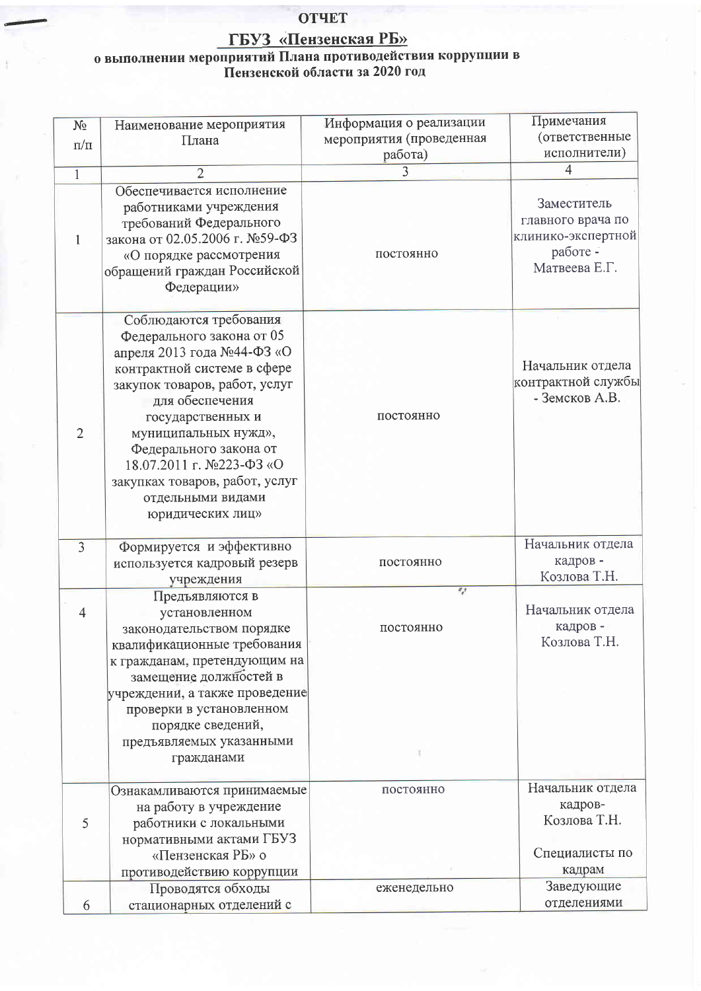## **ОТЧЕТ**

## $\frac{\Gamma\text{EV3}}{\Gamma\text{EV3}}$  «Пензенская РБ»<br>о выполнении мероприятий Плана противодействия коррупции в Пензенской области за 2020 год

| $N_2$<br>$\pi/\pi$ | Наименование мероприятия<br>Плана                                                                                                                                                                                                                                                                                                                  | Информация о реализации<br>мероприятия (проведенная<br>работа) | Примечания<br>(ответственные<br>исполнители)                                        |
|--------------------|----------------------------------------------------------------------------------------------------------------------------------------------------------------------------------------------------------------------------------------------------------------------------------------------------------------------------------------------------|----------------------------------------------------------------|-------------------------------------------------------------------------------------|
| $\mathbf{1}$       | $\overline{2}$                                                                                                                                                                                                                                                                                                                                     | $\overline{3}$                                                 | $\overline{4}$                                                                      |
| 1                  | Обеспечивается исполнение<br>работниками учреждения<br>требований Федерального<br>закона от 02.05.2006 г. №59-ФЗ<br>«О порядке рассмотрения<br>обращений граждан Российской<br>Федерации»                                                                                                                                                          | постоянно                                                      | Заместитель<br>главного врача по<br>клинико-экспертной<br>работе -<br>Матвеева Е.Г. |
| $\overline{2}$     | Соблюдаются требования<br>Федерального закона от 05<br>апреля 2013 года №44-ФЗ «О<br>контрактной системе в сфере<br>закупок товаров, работ, услуг<br>для обеспечения<br>государственных и<br>муниципальных нужд»,<br>Федерального закона от<br>18.07.2011 г. №223-ФЗ «О<br>закупках товаров, работ, услуг<br>отдельными видами<br>юридических лиц» | постоянно                                                      | Начальник отдела<br>контрактной службы<br>- Земсков А.В.                            |
| $\overline{3}$     | Формируется и эффективно<br>используется кадровый резерв<br>учреждения                                                                                                                                                                                                                                                                             | постоянно                                                      | Начальник отдела<br>кадров-<br>Козлова Т.Н.                                         |
| 4                  | Предъявляются в<br>установленном<br>законодательством порядке<br>квалификационные требования<br>к гражданам, претендующим на<br>замещение должностей в<br>учреждении, а также проведение<br>проверки в установленном<br>порядке сведений,<br>предъявляемых указанными<br>гражданами                                                                | $\mathcal{L}_{\mathcal{J}}$<br>постоянно                       | Начальник отдела<br>кадров-<br>Козлова Т.Н.                                         |
| 5                  | Ознакамливаются принимаемые<br>на работу в учреждение<br>работники с локальными<br>нормативными актами ГБУЗ<br>«Пензенская РБ» о<br>противодействию коррупции                                                                                                                                                                                      | постоянно                                                      | Начальник отдела<br>кадров-<br>Козлова Т.Н.<br>Специалисты по<br>кадрам             |
| 6                  | Проводятся обходы<br>стационарных отделений с                                                                                                                                                                                                                                                                                                      | еженедельно                                                    | Заведующие<br>отделениями                                                           |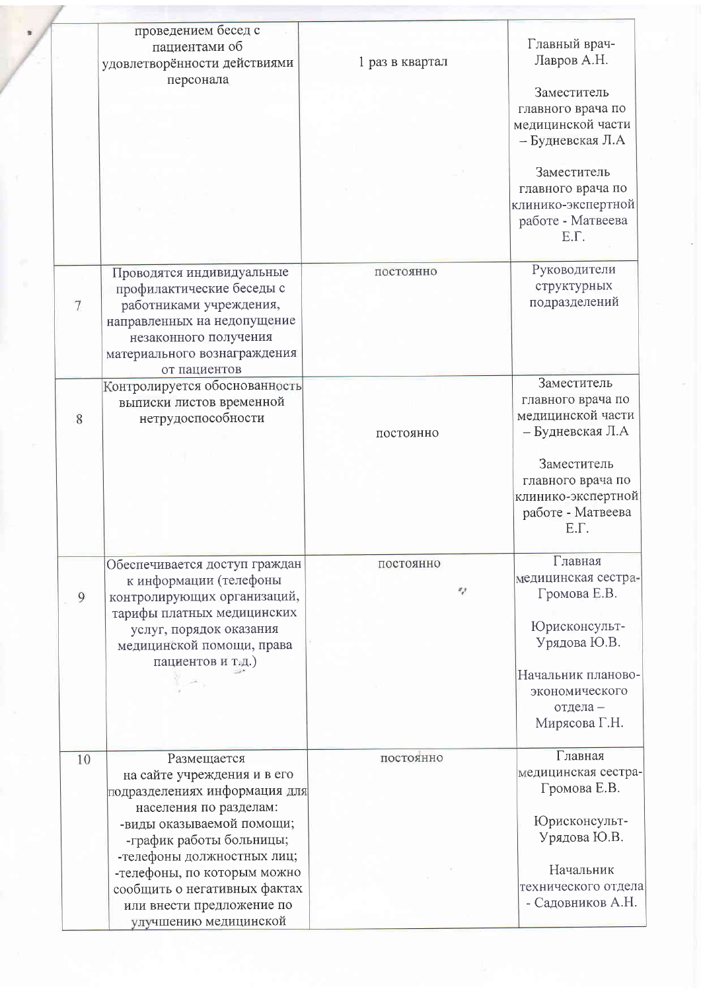|                | проведением бесед с<br>пациентами об<br>удовлетворённости действиями                                                                                                                              | 1 раз в квартал | Главный врач-<br>Лавров А.Н.                                                                          |
|----------------|---------------------------------------------------------------------------------------------------------------------------------------------------------------------------------------------------|-----------------|-------------------------------------------------------------------------------------------------------|
|                | персонала                                                                                                                                                                                         |                 | Заместитель<br>главного врача по<br>медицинской части<br>– Будневская Л.А                             |
|                |                                                                                                                                                                                                   |                 | Заместитель<br>главного врача по<br>клинико-экспертной<br>работе - Матвеева<br>E.T.                   |
| $\overline{7}$ | Проводятся индивидуальные<br>профилактические беседы с<br>работниками учреждения,<br>направленных на недопущение<br>незаконного получения<br>материального вознаграждения<br>от пациентов         | постоянно       | Руководители<br>структурных<br>подразделений                                                          |
| 8              | Контролируется обоснованность<br>выписки листов временной<br>нетрудоспособности                                                                                                                   | постоянно       | Заместитель<br>главного врача по<br>медицинской части<br>– Будневская Л.А                             |
|                |                                                                                                                                                                                                   |                 | Заместитель<br>главного врача по<br>клинико-экспертной<br>работе - Матвеева<br>E.Γ.                   |
| 9              | Обеспечивается доступ граждан<br>к информации (телефоны<br>контролирующих организаций,<br>тарифы платных медицинских<br>услуг, порядок оказания<br>медицинской помощи, права<br>пациентов и т.д.) | постоянно<br>v  | Главная<br>медицинская сестра-<br>Громова Е.В.<br>Юрисконсульт-<br>Урядова Ю.В.<br>Начальник планово- |
|                |                                                                                                                                                                                                   |                 | экономического<br>отдела -<br>Мирясова Г.Н.                                                           |
| 10             | Размещается<br>на сайте учреждения и в его<br>подразделениях информация для<br>населения по разделам:<br>-виды оказываемой помощи;                                                                | постоянно       | Главная<br>медицинская сестра-<br>Громова Е.В.<br>Юрисконсульт-                                       |
|                | -график работы больницы;<br>-телефоны должностных лиц;<br>-телефоны, по которым можно<br>сообщить о негативных фактах<br>или внести предложение по<br>улучшению медицинской                       |                 | Урядова Ю.В.<br>Начальник<br>технического отдела<br>- Садовников А.Н.                                 |

J.